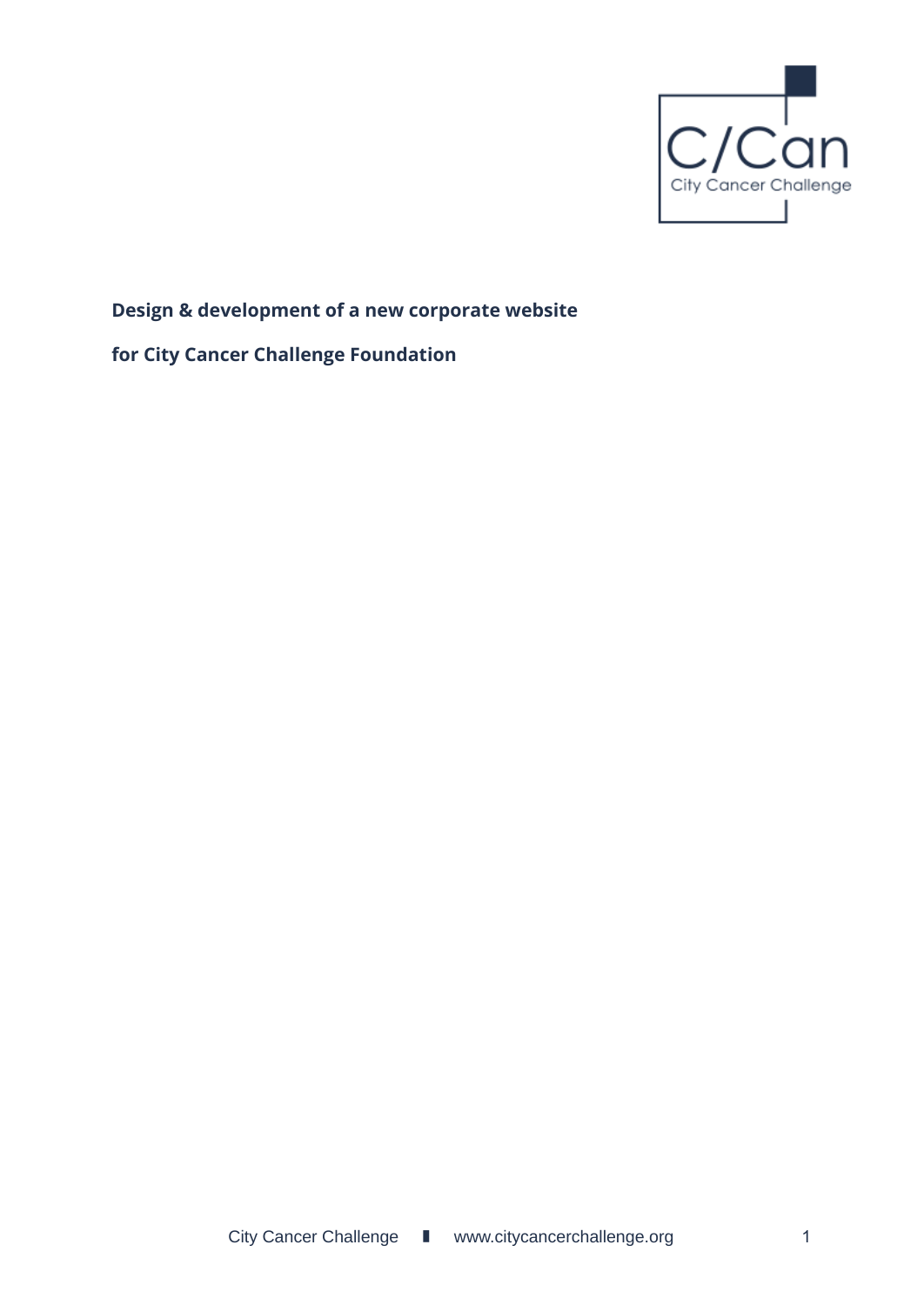

# **Design & development of a new corporate website**

## **for City Cancer Challenge Foundation**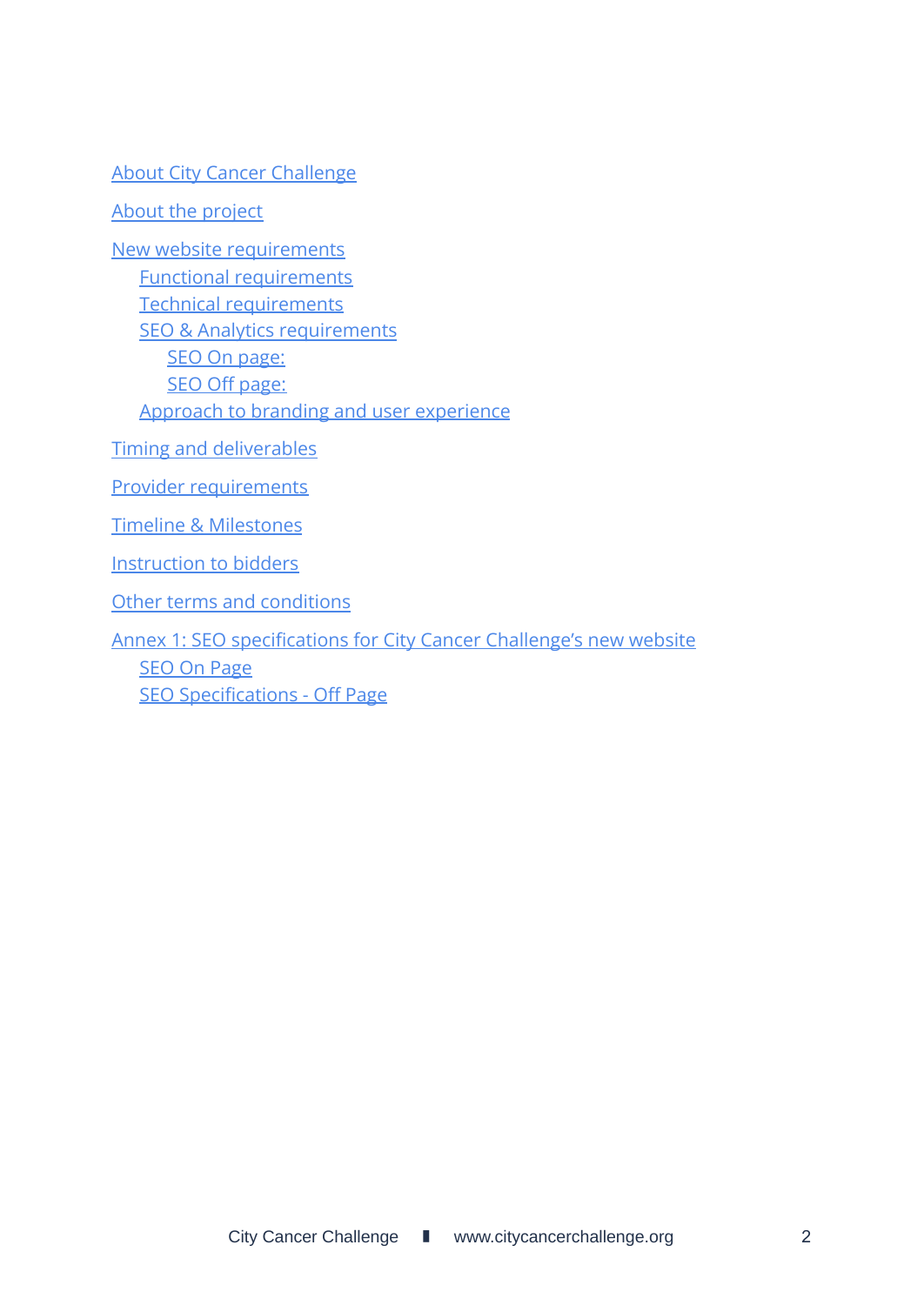[About City Cancer Challenge](#page-2-0)

[About the project](#page-2-1)

[New website requirements](#page-3-0) [Functional requirements](#page-3-1) [Technical requirements](#page-3-2) [SEO & Analytics requirements](#page-6-0) [SEO On page:](#page-6-1) [SEO Off page:](#page-8-0) [Approach to branding and user experience](#page-8-1)

[Timing and deliverables](#page-9-0)

[Provider requirements](#page-10-0)

[Timeline & Milestones](#page-11-0)

Instruction to bidders

[Other terms and conditions](#page-12-0)

[Annex 1: SEO specifications for City Cancer Challenge's new website](#page-13-0) [SEO On Page](#page-13-1) [SEO Specifications - Off Page](#page-19-0)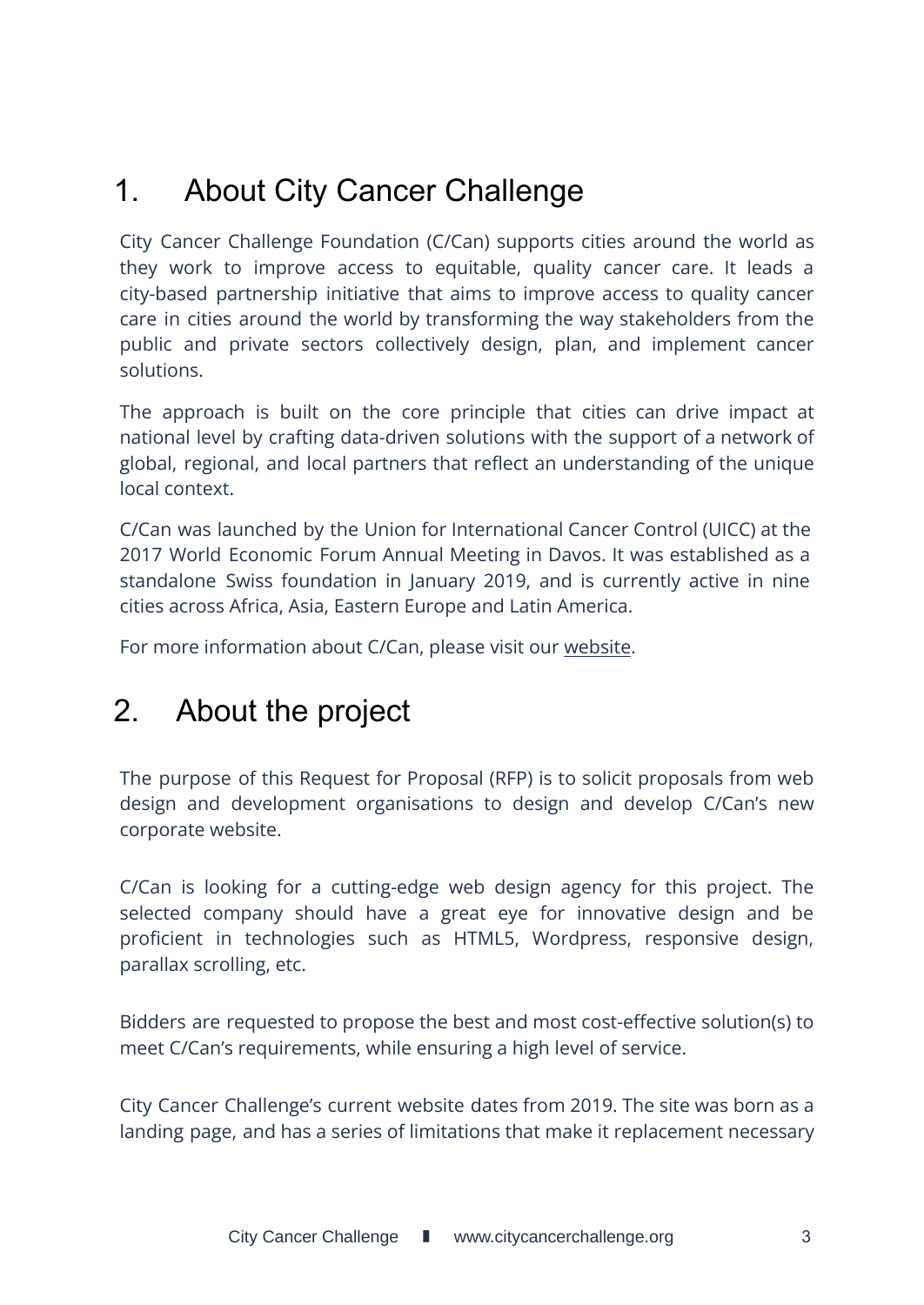# <span id="page-2-0"></span>1. About City Cancer Challenge

City Cancer Challenge Foundation (C/Can) supports cities around the world as they work to improve access to equitable, quality cancer care. It leads a city-based partnership initiative that aims to improve access to quality cancer care in cities around the world by transforming the way stakeholders from the public and private sectors collectively design, plan, and implement cancer solutions.

The approach is built on the core principle that cities can drive impact at national level by crafting data-driven solutions with the support of a network of global, regional, and local partners that reflect an understanding of the unique local context.

C/Can was launched by the Union for International Cancer Control (UICC) at the 2017 World Economic Forum Annual Meeting in Davos. It was established as a standalone Swiss foundation in January 2019, and is currently active in nine cities across Africa, Asia, Eastern Europe and Latin America.

For more information about C/Can, please visit our [website](https://citycancerchallenge.org/).

# <span id="page-2-1"></span>2. About the project

The purpose of this Request for Proposal (RFP) is to solicit proposals from web design and development organisations to design and develop C/Can's new corporate website.

C/Can is looking for a cutting-edge web design agency for this project. The selected company should have a great eye for innovative design and be proficient in technologies such as HTML5, Wordpress, responsive design, parallax scrolling, etc.

Bidders are requested to propose the best and most cost-effective solution(s) to meet C/Can's requirements, while ensuring a high level of service.

City Cancer Challenge's current website dates from 2019. The site was born as a landing page, and has a series of limitations that make it replacement necessary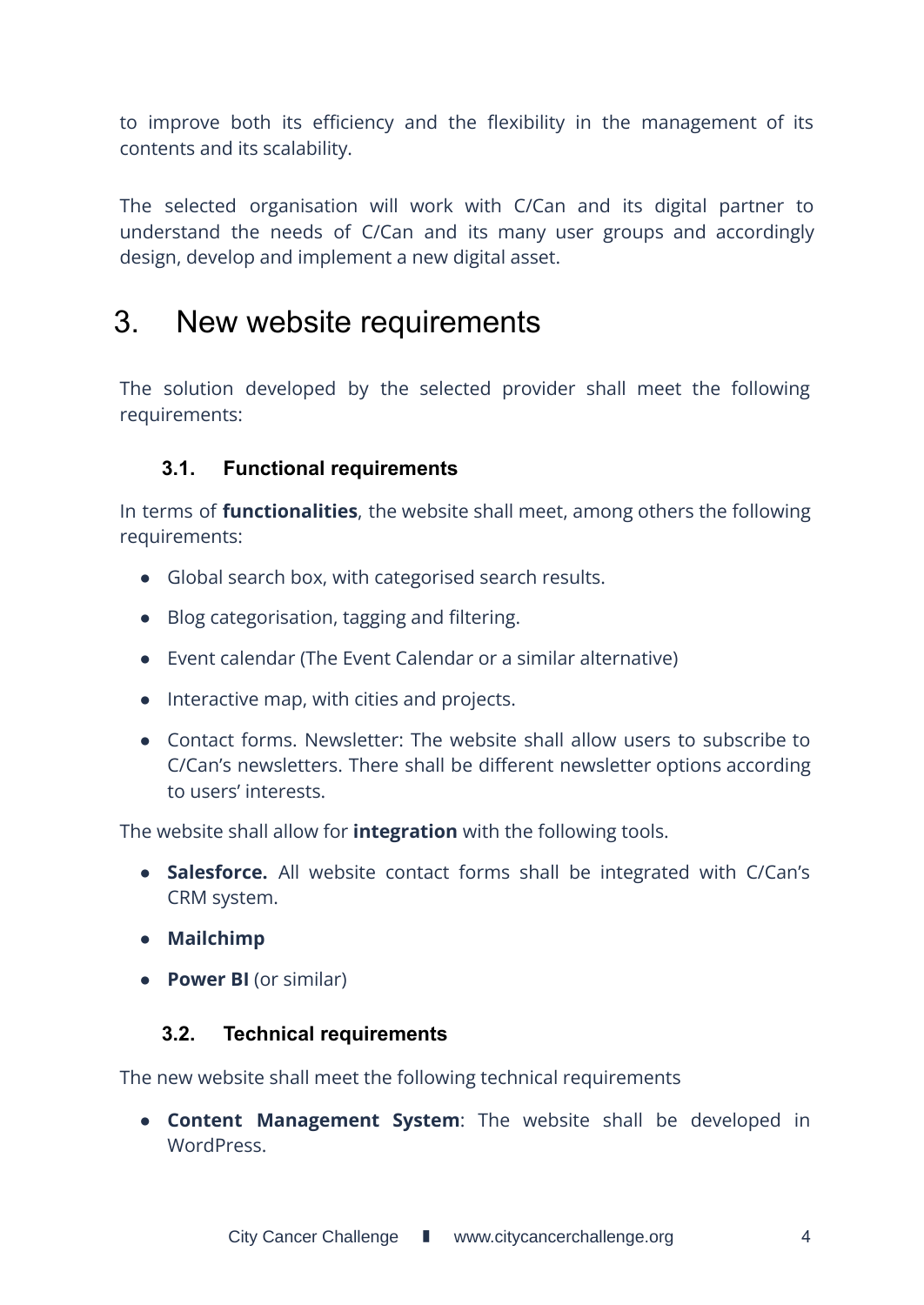to improve both its efficiency and the flexibility in the management of its contents and its scalability.

The selected organisation will work with C/Can and its digital partner to understand the needs of C/Can and its many user groups and accordingly design, develop and implement a new digital asset.

# <span id="page-3-0"></span>3. New website requirements

The solution developed by the selected provider shall meet the following requirements:

## <span id="page-3-1"></span>**3.1. Functional requirements**

In terms of **functionalities**, the website shall meet, among others the following requirements:

- Global search box, with categorised search results.
- Blog categorisation, tagging and filtering.
- Event calendar (The Event Calendar or a similar alternative)
- Interactive map, with cities and projects.
- Contact forms. Newsletter: The website shall allow users to subscribe to C/Can's newsletters. There shall be different newsletter options according to users' interests.

The website shall allow for **integration** with the following tools.

- **Salesforce.** All website contact forms shall be integrated with C/Can's CRM system.
- **● Mailchimp**
- <span id="page-3-2"></span>● **Power BI** (or similar)

## **3.2. Technical requirements**

The new website shall meet the following technical requirements

● **Content Management System**: The website shall be developed in WordPress.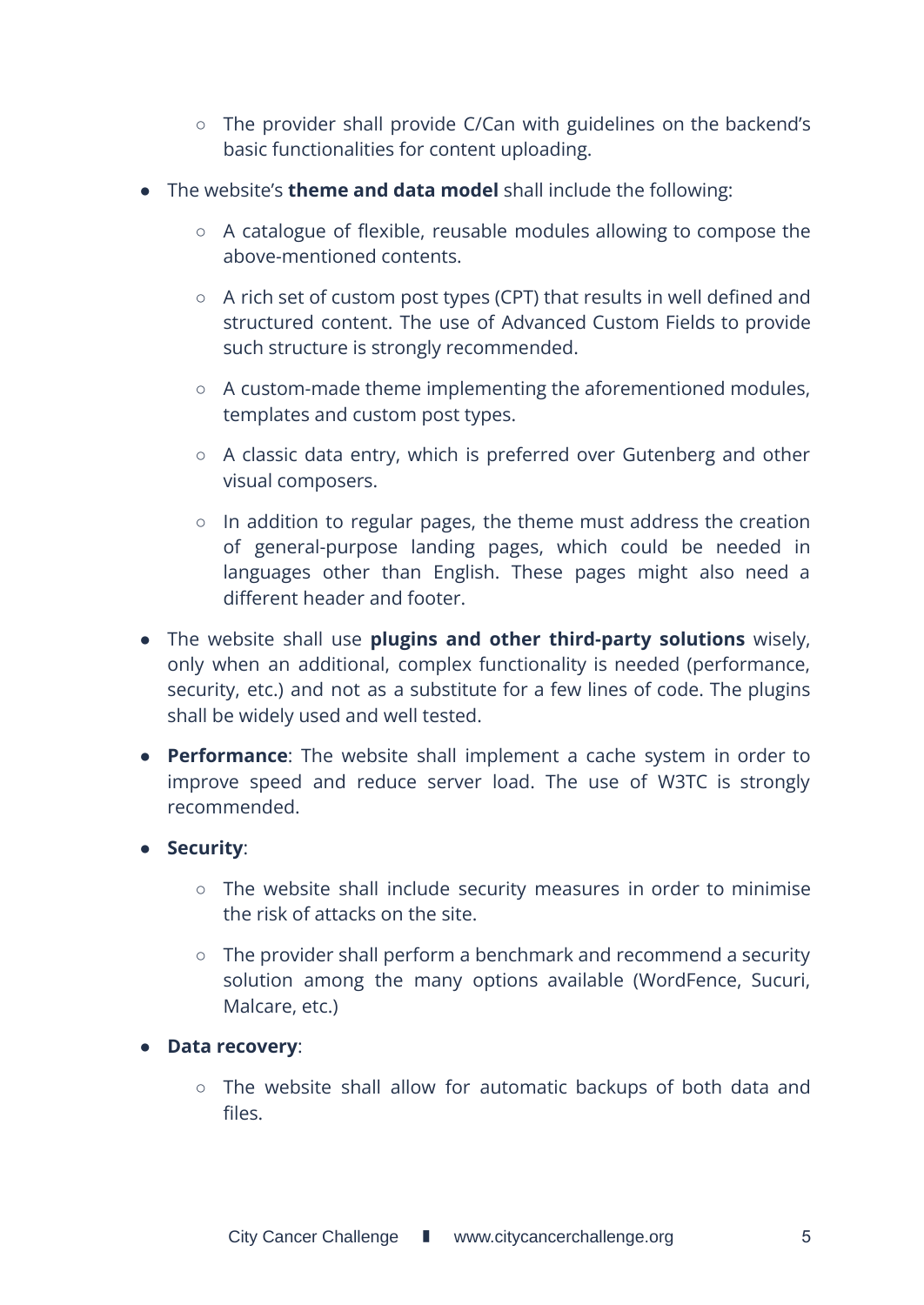- The provider shall provide C/Can with guidelines on the backend's basic functionalities for content uploading.
- The website's **theme and data model** shall include the following:
	- A catalogue of flexible, reusable modules allowing to compose the above-mentioned contents.
	- A rich set of custom post types (CPT) that results in well defined and structured content. The use of Advanced Custom Fields to provide such structure is strongly recommended.
	- A custom-made theme implementing the aforementioned modules, templates and custom post types.
	- A classic data entry, which is preferred over Gutenberg and other visual composers.
	- In addition to regular pages, the theme must address the creation of general-purpose landing pages, which could be needed in languages other than English. These pages might also need a different header and footer.
- The website shall use **plugins and other third-party solutions** wisely, only when an additional, complex functionality is needed (performance, security, etc.) and not as a substitute for a few lines of code. The plugins shall be widely used and well tested.
- **Performance**: The website shall implement a cache system in order to improve speed and reduce server load. The use of W3TC is strongly recommended.

### ● **Security**:

- The website shall include security measures in order to minimise the risk of attacks on the site.
- The provider shall perform a benchmark and recommend a security solution among the many options available (WordFence, Sucuri, Malcare, etc.)
- **Data recovery**:
	- The website shall allow for automatic backups of both data and files.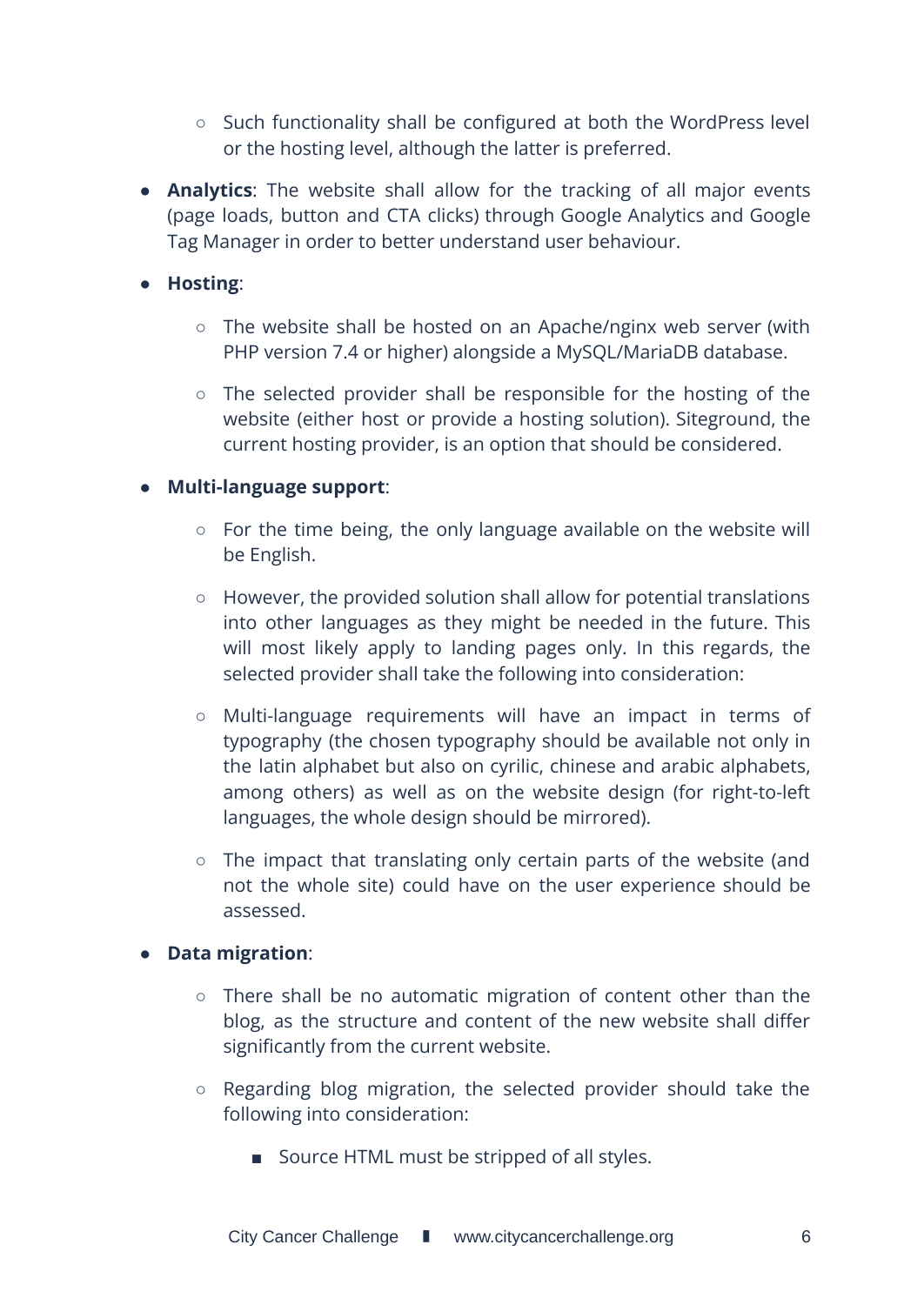- Such functionality shall be configured at both the WordPress level or the hosting level, although the latter is preferred.
- **Analytics**: The website shall allow for the tracking of all major events (page loads, button and CTA clicks) through Google Analytics and Google Tag Manager in order to better understand user behaviour.

### ● **Hosting**:

- The website shall be hosted on an Apache/nginx web server (with PHP version 7.4 or higher) alongside a MySQL/MariaDB database.
- The selected provider shall be responsible for the hosting of the website (either host or provide a hosting solution). Siteground, the current hosting provider, is an option that should be considered.

### ● **Multi-language support**:

- $\circ$  For the time being, the only language available on the website will be English.
- However, the provided solution shall allow for potential translations into other languages as they might be needed in the future. This will most likely apply to landing pages only. In this regards, the selected provider shall take the following into consideration:
- Multi-language requirements will have an impact in terms of typography (the chosen typography should be available not only in the latin alphabet but also on cyrilic, chinese and arabic alphabets, among others) as well as on the website design (for right-to-left languages, the whole design should be mirrored).
- The impact that translating only certain parts of the website (and not the whole site) could have on the user experience should be assessed.

#### ● **Data migration**:

- There shall be no automatic migration of content other than the blog, as the structure and content of the new website shall differ significantly from the current website.
- Regarding blog migration, the selected provider should take the following into consideration:
	- Source HTML must be stripped of all styles.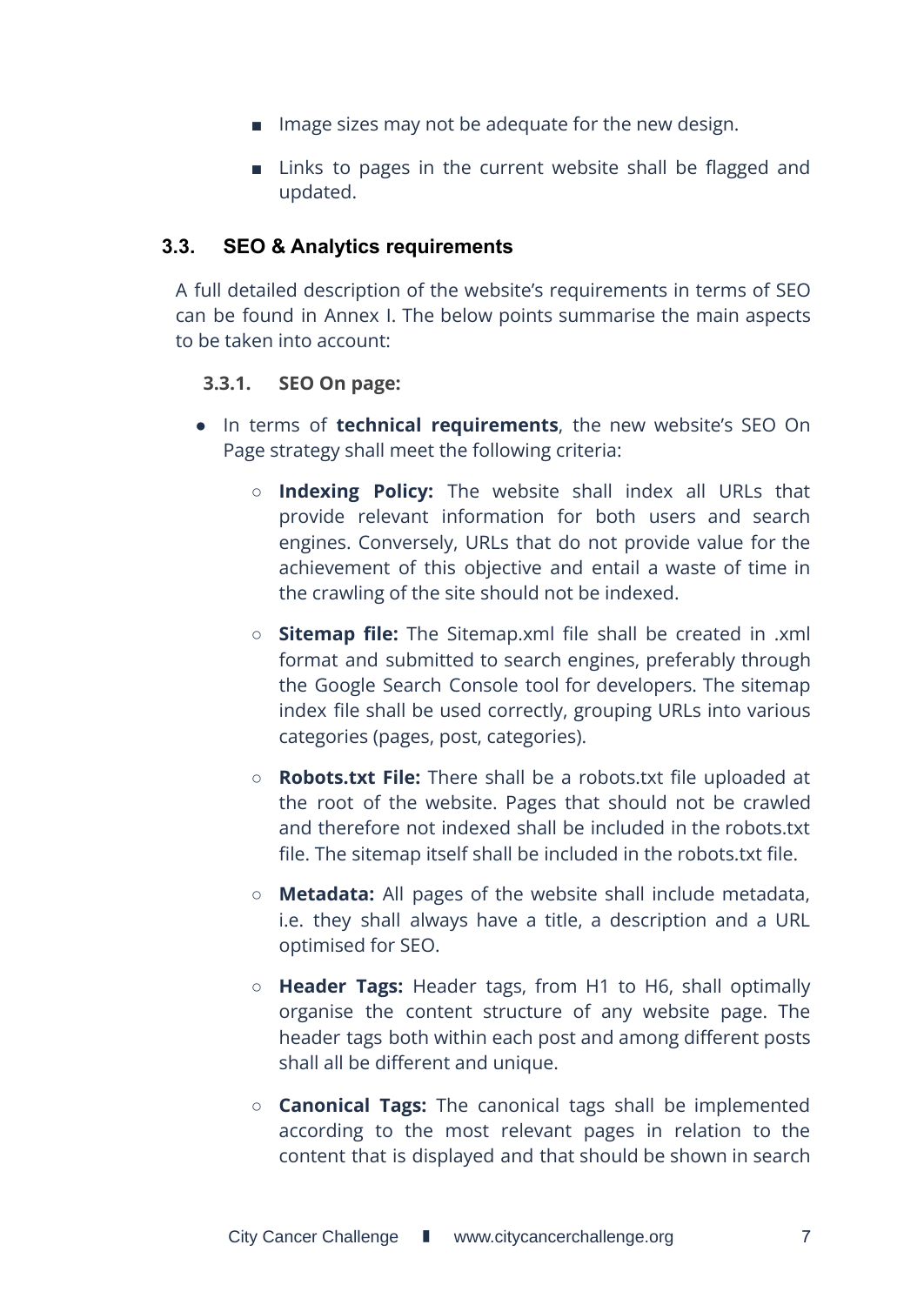- Image sizes may not be adequate for the new design.
- Links to pages in the current website shall be flagged and updated.

### <span id="page-6-0"></span>**3.3. SEO & Analytics requirements**

A full detailed description of the website's requirements in terms of SEO can be found in Annex I. The below points summarise the main aspects to be taken into account:

### <span id="page-6-1"></span>**3.3.1. SEO On page:**

- In terms of **technical requirements**, the new website's SEO On Page strategy shall meet the following criteria:
	- **Indexing Policy:** The website shall index all URLs that provide relevant information for both users and search engines. Conversely, URLs that do not provide value for the achievement of this objective and entail a waste of time in the crawling of the site should not be indexed.
	- **Sitemap file:** The Sitemap.xml file shall be created in .xml format and submitted to search engines, preferably through the Google Search Console tool for developers. The sitemap index file shall be used correctly, grouping URLs into various categories (pages, post, categories).
	- **Robots.txt File:** There shall be a robots.txt file uploaded at the root of the website. Pages that should not be crawled and therefore not indexed shall be included in the robots.txt file. The sitemap itself shall be included in the robots.txt file.
	- **Metadata:** All pages of the website shall include metadata, i.e. they shall always have a title, a description and a URL optimised for SEO.
	- **Header Tags:** Header tags, from H1 to H6, shall optimally organise the content structure of any website page. The header tags both within each post and among different posts shall all be different and unique.
	- **Canonical Tags:** The canonical tags shall be implemented according to the most relevant pages in relation to the content that is displayed and that should be shown in search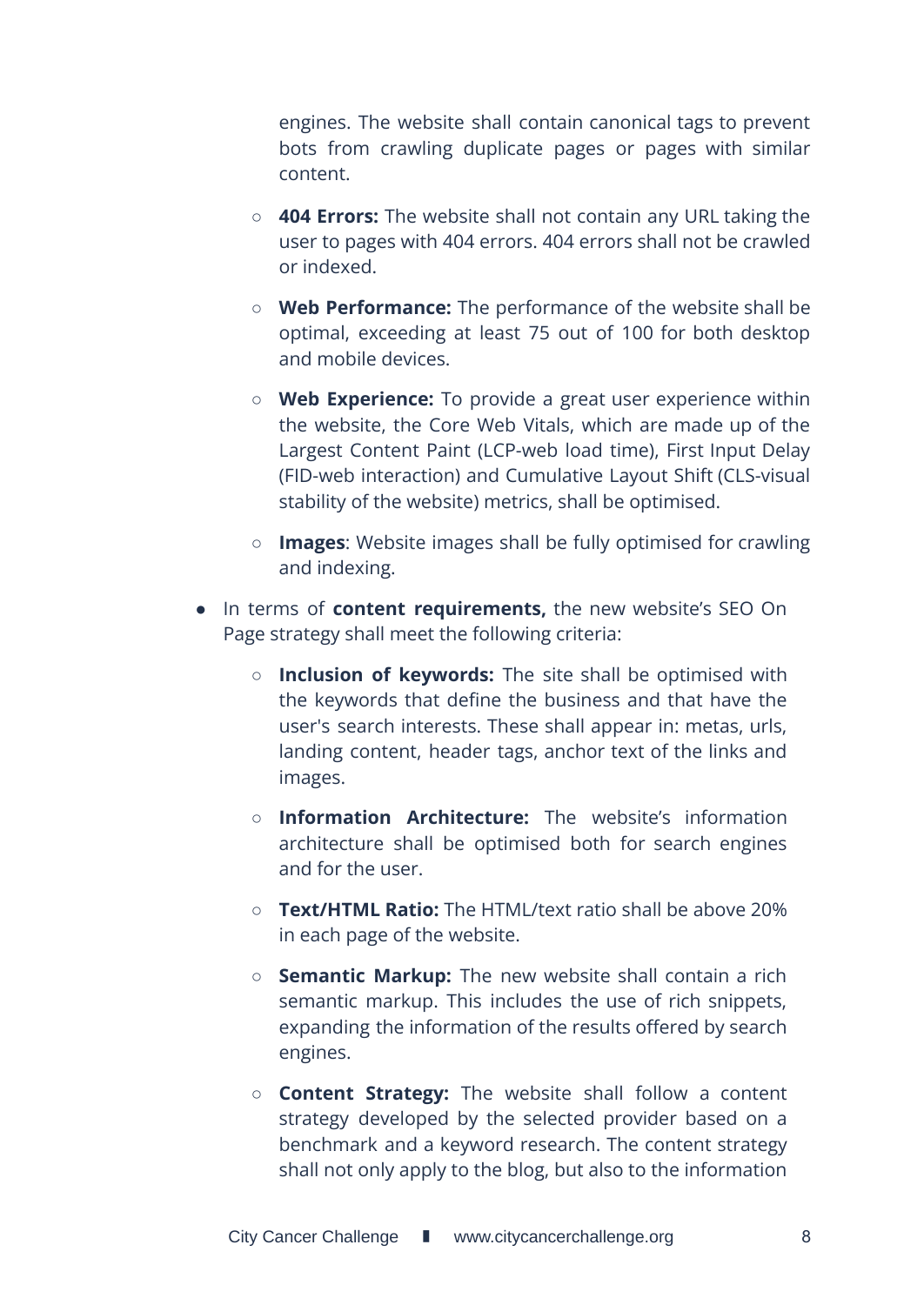engines. The website shall contain canonical tags to prevent bots from crawling duplicate pages or pages with similar content.

- **404 Errors:** The website shall not contain any URL taking the user to pages with 404 errors. 404 errors shall not be crawled or indexed.
- **Web Performance:** The performance of the website shall be optimal, exceeding at least 75 out of 100 for both desktop and mobile devices.
- **Web Experience:** To provide a great user experience within the website, the Core Web Vitals, which are made up of the Largest Content Paint (LCP-web load time), First Input Delay (FID-web interaction) and Cumulative Layout Shift (CLS-visual stability of the website) metrics, shall be optimised.
- **Images**: Website images shall be fully optimised for crawling and indexing.
- In terms of **content requirements,** the new website's SEO On Page strategy shall meet the following criteria:
	- **Inclusion of keywords:** The site shall be optimised with the keywords that define the business and that have the user's search interests. These shall appear in: metas, urls, landing content, header tags, anchor text of the links and images.
	- **Information Architecture:** The website's information architecture shall be optimised both for search engines and for the user.
	- **Text/HTML Ratio:** The HTML/text ratio shall be above 20% in each page of the website.
	- **Semantic Markup:** The new website shall contain a rich semantic markup. This includes the use of rich snippets, expanding the information of the results offered by search engines.
	- **Content Strategy:** The website shall follow a content strategy developed by the selected provider based on a benchmark and a keyword research. The content strategy shall not only apply to the blog, but also to the information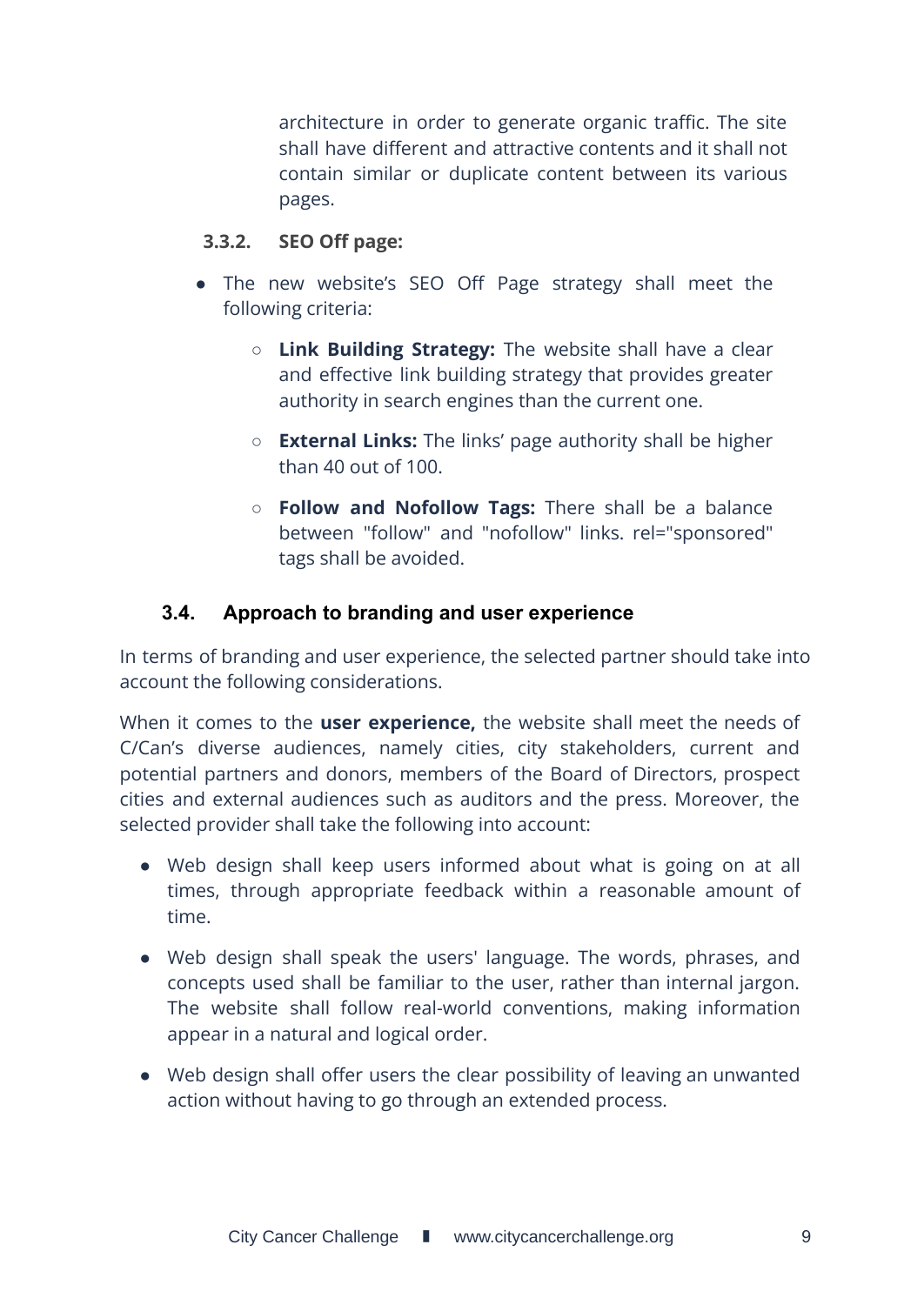architecture in order to generate organic traffic. The site shall have different and attractive contents and it shall not contain similar or duplicate content between its various pages.

### <span id="page-8-0"></span>**3.3.2. SEO Off page:**

- The new website's SEO Off Page strategy shall meet the following criteria:
	- **Link Building Strategy:** The website shall have a clear and effective link building strategy that provides greater authority in search engines than the current one.
	- **External Links:** The links' page authority shall be higher than 40 out of 100.
	- **Follow and Nofollow Tags:** There shall be a balance between "follow" and "nofollow" links. rel="sponsored" tags shall be avoided.

### <span id="page-8-1"></span>**3.4. Approach to branding and user experience**

In terms of branding and user experience, the selected partner should take into account the following considerations.

When it comes to the **user experience,** the website shall meet the needs of C/Can's diverse audiences, namely cities, city stakeholders, current and potential partners and donors, members of the Board of Directors, prospect cities and external audiences such as auditors and the press. Moreover, the selected provider shall take the following into account:

- Web design shall keep users informed about what is going on at all times, through appropriate feedback within a reasonable amount of time.
- Web design shall speak the users' language. The words, phrases, and concepts used shall be familiar to the user, rather than internal jargon. The website shall follow real-world conventions, making information appear in a natural and logical order.
- Web design shall offer users the clear possibility of leaving an unwanted action without having to go through an extended process.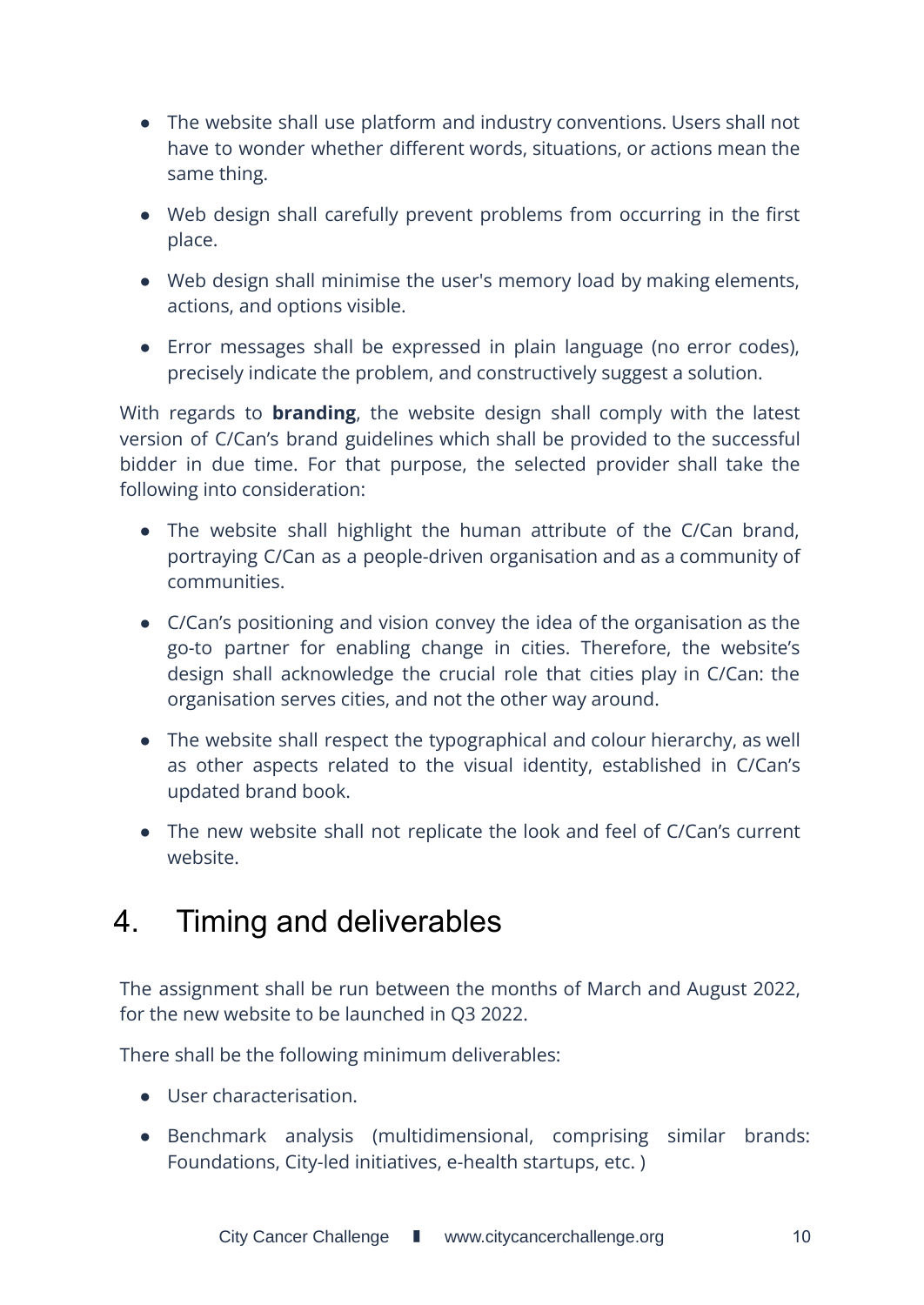- The website shall use platform and industry conventions. Users shall not have to wonder whether different words, situations, or actions mean the same thing.
- Web design shall carefully prevent problems from occurring in the first place.
- Web design shall minimise the user's memory load by making elements, actions, and options visible.
- Error messages shall be expressed in plain language (no error codes), precisely indicate the problem, and constructively suggest a solution.

With regards to **branding**, the website design shall comply with the latest version of C/Can's brand guidelines which shall be provided to the successful bidder in due time. For that purpose, the selected provider shall take the following into consideration:

- The website shall highlight the human attribute of the C/Can brand, portraying C/Can as a people-driven organisation and as a community of communities.
- C/Can's positioning and vision convey the idea of the organisation as the go-to partner for enabling change in cities. Therefore, the website's design shall acknowledge the crucial role that cities play in C/Can: the organisation serves cities, and not the other way around.
- The website shall respect the typographical and colour hierarchy, as well as other aspects related to the visual identity, established in C/Can's updated brand book.
- The new website shall not replicate the look and feel of C/Can's current website.

# <span id="page-9-0"></span>4. Timing and deliverables

The assignment shall be run between the months of March and August 2022, for the new website to be launched in Q3 2022.

There shall be the following minimum deliverables:

- User characterisation.
- Benchmark analysis (multidimensional, comprising similar brands: Foundations, City-led initiatives, e-health startups, etc. )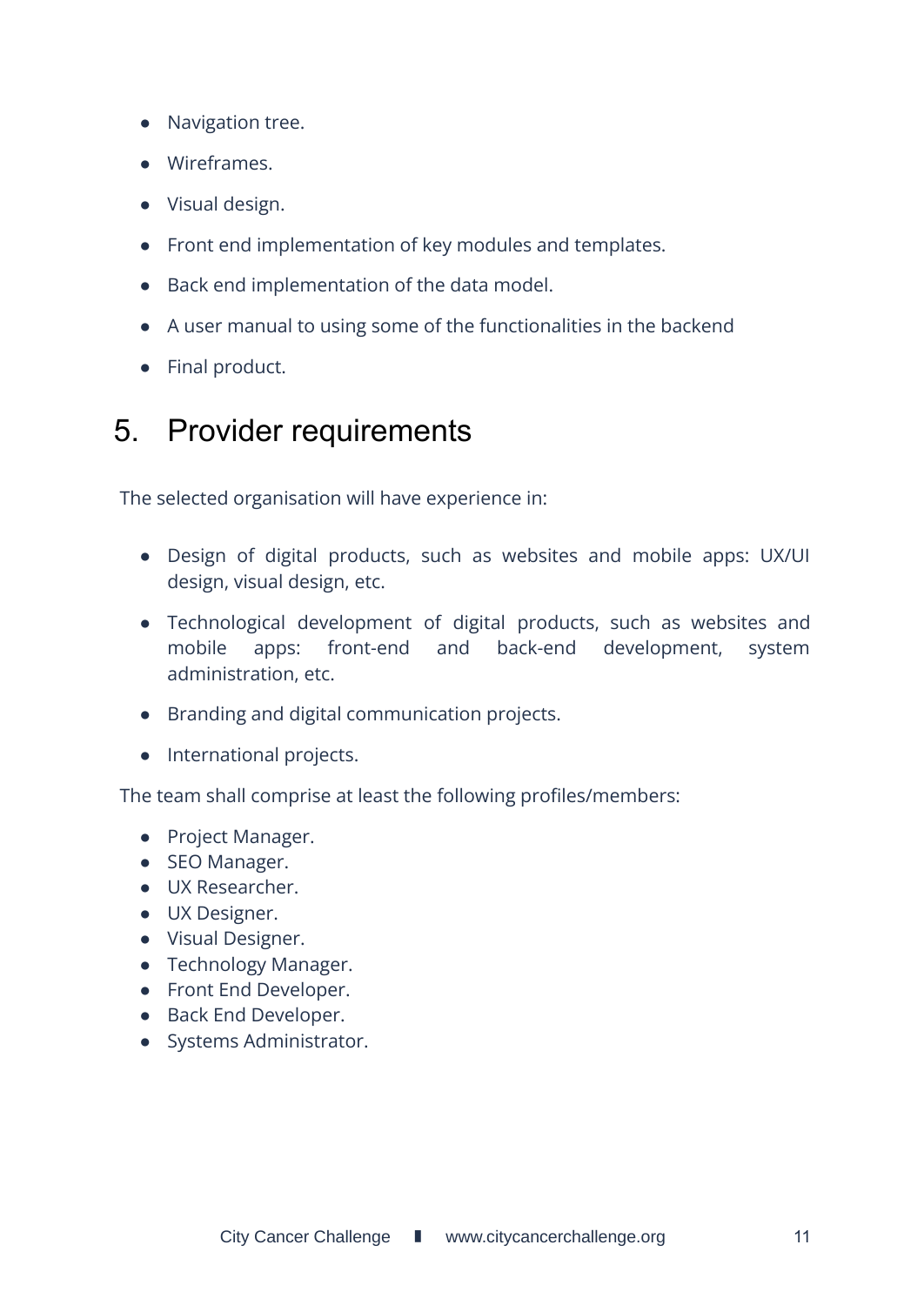- Navigation tree.
- Wireframes.
- Visual design.
- Front end implementation of key modules and templates.
- Back end implementation of the data model.
- A user manual to using some of the functionalities in the backend
- Final product.

# <span id="page-10-0"></span>5. Provider requirements

The selected organisation will have experience in:

- Design of digital products, such as websites and mobile apps: UX/UI design, visual design, etc.
- Technological development of digital products, such as websites and mobile apps: front-end and back-end development, system administration, etc.
- Branding and digital communication projects.
- International projects.

The team shall comprise at least the following profiles/members:

- Project Manager.
- SEO Manager.
- UX Researcher.
- UX Designer.
- Visual Designer.
- Technology Manager.
- Front End Developer.
- Back End Developer.
- Systems Administrator.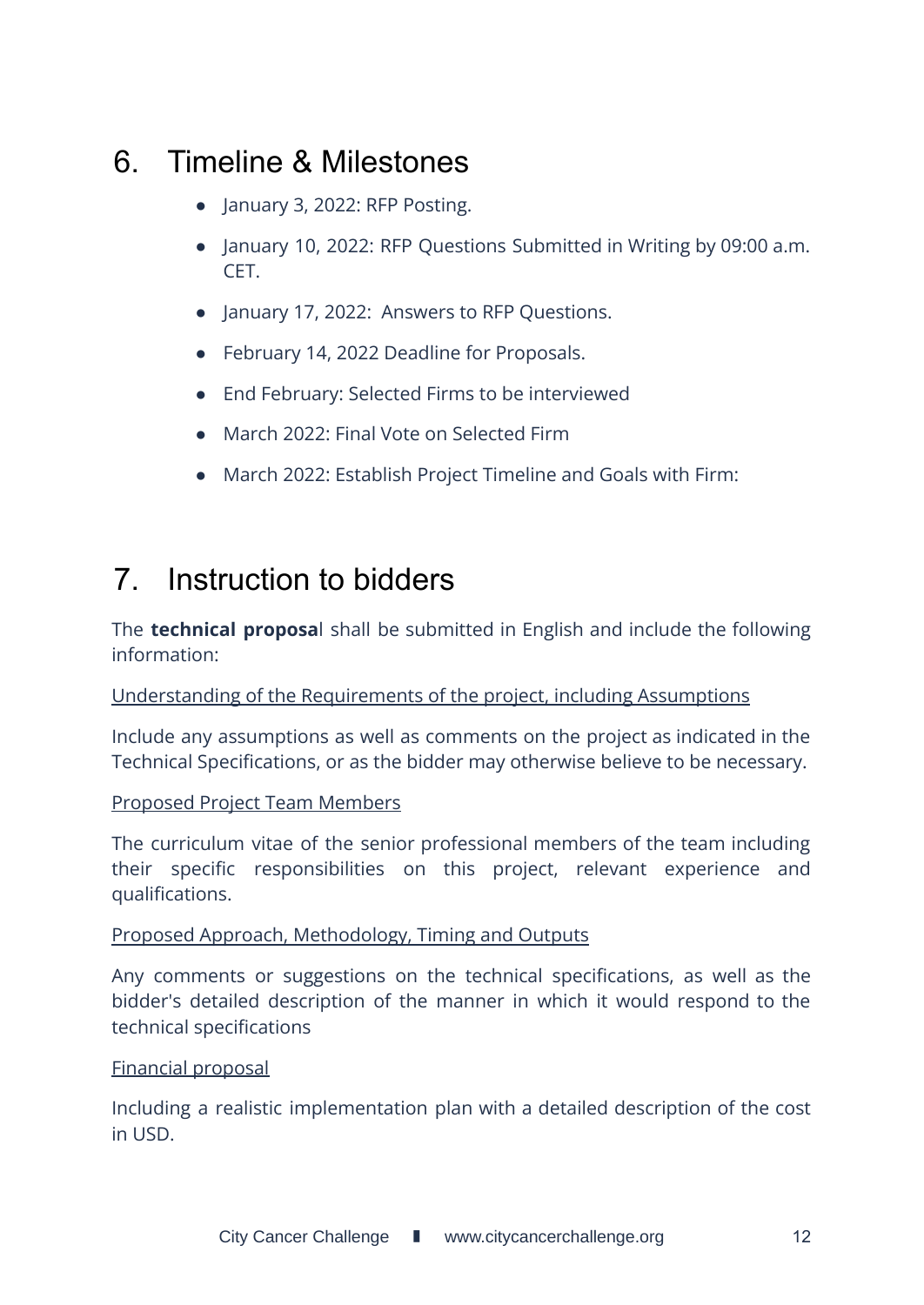# <span id="page-11-0"></span>6. Timeline & Milestones

- January 3, 2022: RFP Posting.
- January 10, 2022: RFP Questions Submitted in Writing by 09:00 a.m. CET.
- January 17, 2022: Answers to RFP Questions.
- February 14, 2022 Deadline for Proposals.
- End February: Selected Firms to be interviewed
- March 2022: Final Vote on Selected Firm
- March 2022: Establish Project Timeline and Goals with Firm:

# 7. Instruction to bidders

The **technical proposa**l shall be submitted in English and include the following information:

### Understanding of the Requirements of the project, including Assumptions

Include any assumptions as well as comments on the project as indicated in the Technical Specifications, or as the bidder may otherwise believe to be necessary.

### Proposed Project Team Members

The curriculum vitae of the senior professional members of the team including their specific responsibilities on this project, relevant experience and qualifications.

#### Proposed Approach, Methodology, Timing and Outputs

Any comments or suggestions on the technical specifications, as well as the bidder's detailed description of the manner in which it would respond to the technical specifications

#### Financial proposal

Including a realistic implementation plan with a detailed description of the cost in USD.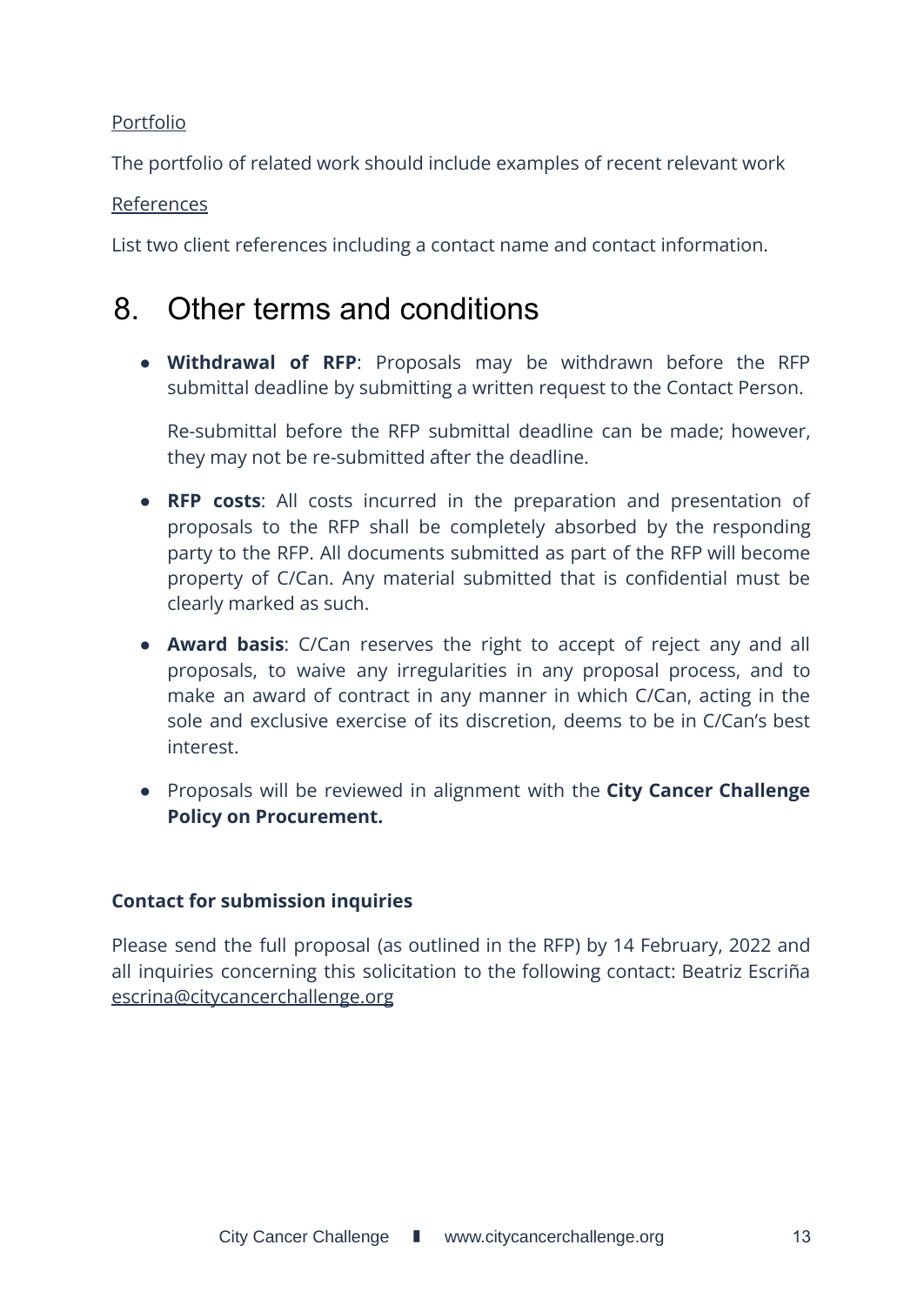### Portfolio

The portfolio of related work should include examples of recent relevant work

### References

List two client references including a contact name and contact information.

# <span id="page-12-0"></span>8. Other terms and conditions

● **Withdrawal of RFP**: Proposals may be withdrawn before the RFP submittal deadline by submitting a written request to the Contact Person.

Re-submittal before the RFP submittal deadline can be made; however, they may not be re-submitted after the deadline.

- **RFP costs**: All costs incurred in the preparation and presentation of proposals to the RFP shall be completely absorbed by the responding party to the RFP. All documents submitted as part of the RFP will become property of C/Can. Any material submitted that is confidential must be clearly marked as such.
- **Award basis**: C/Can reserves the right to accept of reject any and all proposals, to waive any irregularities in any proposal process, and to make an award of contract in any manner in which C/Can, acting in the sole and exclusive exercise of its discretion, deems to be in C/Can's best interest.
- Proposals will be reviewed in alignment with the **City Cancer Challenge Policy on Procurement.**

### **Contact for submission inquiries**

Please send the full proposal (as outlined in the RFP) by 14 February, 2022 and all inquiries concerning this solicitation to the following contact: Beatriz Escriña escrina@citycancerchallenge.org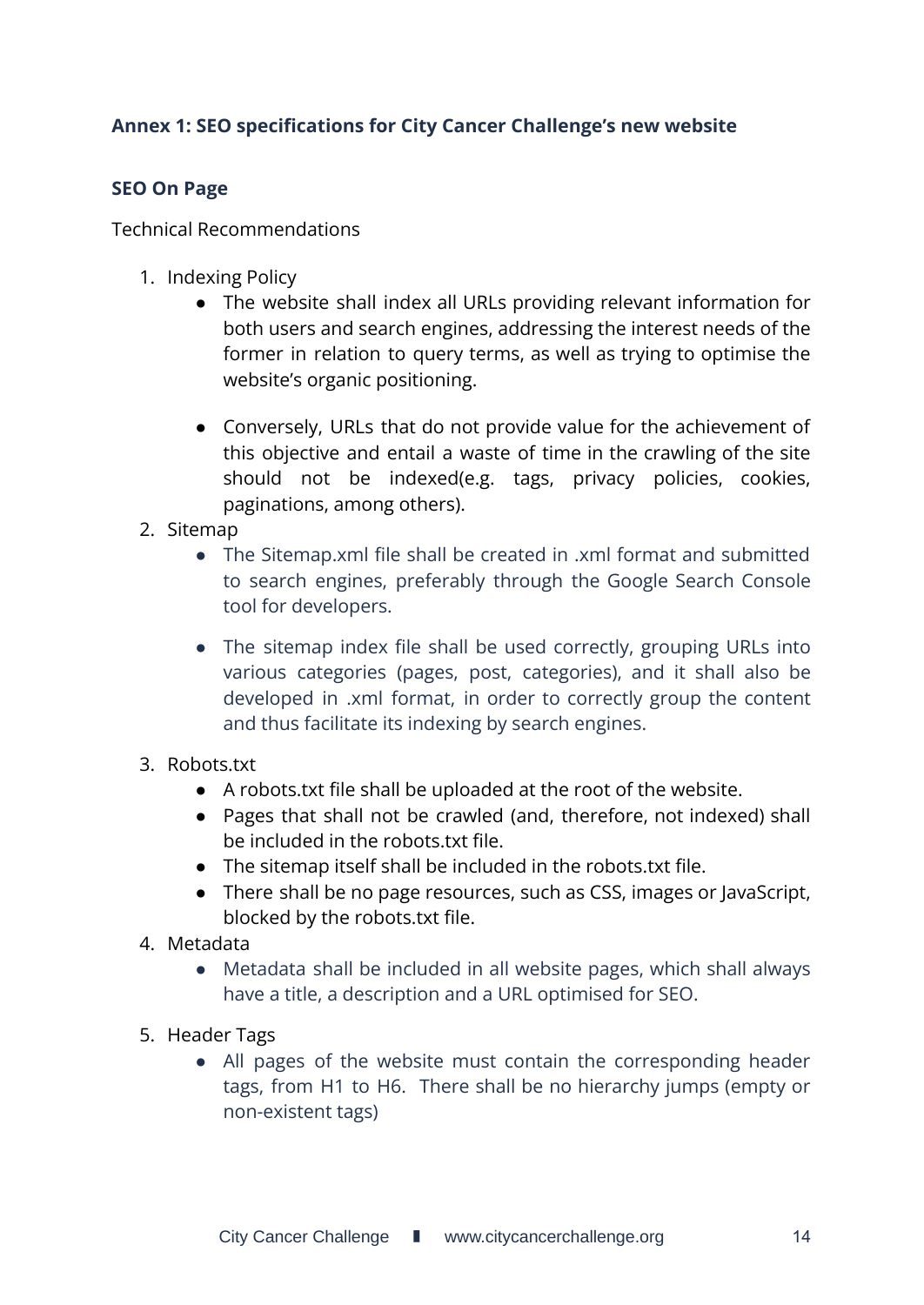### <span id="page-13-0"></span>**Annex 1: SEO specifications for City Cancer Challenge's new website**

### <span id="page-13-1"></span>**SEO On Page**

Technical Recommendations

- 1. Indexing Policy
	- The website shall index all URLs providing relevant information for both users and search engines, addressing the interest needs of the former in relation to query terms, as well as trying to optimise the website's organic positioning.
	- Conversely, URLs that do not provide value for the achievement of this objective and entail a waste of time in the crawling of the site should not be indexed(e.g. tags, privacy policies, cookies, paginations, among others).
- 2. Sitemap
	- The Sitemap.xml file shall be created in .xml format and submitted to search engines, preferably through the Google Search Console tool for developers.
	- The sitemap index file shall be used correctly, grouping URLs into various categories (pages, post, categories), and it shall also be developed in .xml format, in order to correctly group the content and thus facilitate its indexing by search engines.
- 3. Robots.txt
	- A robots.txt file shall be uploaded at the root of the website.
	- Pages that shall not be crawled (and, therefore, not indexed) shall be included in the robots.txt file.
	- The sitemap itself shall be included in the robots.txt file.
	- There shall be no page resources, such as CSS, images or JavaScript, blocked by the robots.txt file.
- 4. Metadata
	- Metadata shall be included in all website pages, which shall always have a title, a description and a URL optimised for SEO.
- 5. Header Tags
	- All pages of the website must contain the corresponding header tags, from H1 to H6. There shall be no hierarchy jumps (empty or non-existent tags)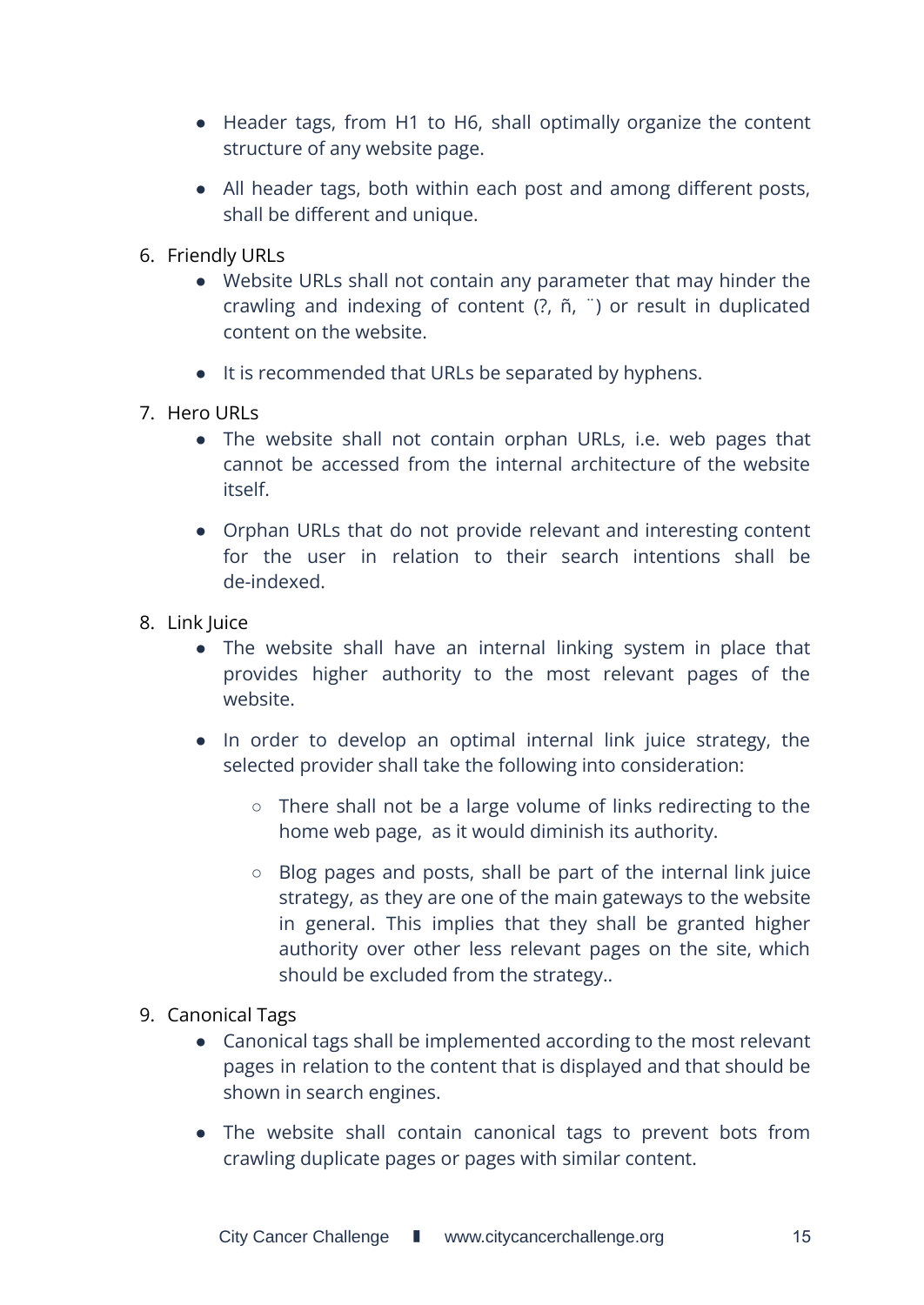- Header tags, from H1 to H6, shall optimally organize the content structure of any website page.
- All header tags, both within each post and among different posts, shall be different and unique.
- 6. Friendly URLs
	- Website URLs shall not contain any parameter that may hinder the crawling and indexing of content (?, ñ, ¨) or result in duplicated content on the website.
	- It is recommended that URLs be separated by hyphens.
- 7. Hero URLs
	- The website shall not contain orphan URLs, i.e. web pages that cannot be accessed from the internal architecture of the website itself.
	- Orphan URLs that do not provide relevant and interesting content for the user in relation to their search intentions shall be de-indexed.
- 8. Link Juice
	- The website shall have an internal linking system in place that provides higher authority to the most relevant pages of the website.
	- In order to develop an optimal internal link juice strategy, the selected provider shall take the following into consideration:
		- There shall not be a large volume of links redirecting to the home web page, as it would diminish its authority.
		- Blog pages and posts, shall be part of the internal link juice strategy, as they are one of the main gateways to the website in general. This implies that they shall be granted higher authority over other less relevant pages on the site, which should be excluded from the strategy..
- 9. Canonical Tags
	- Canonical tags shall be implemented according to the most relevant pages in relation to the content that is displayed and that should be shown in search engines.
	- The website shall contain canonical tags to prevent bots from crawling duplicate pages or pages with similar content.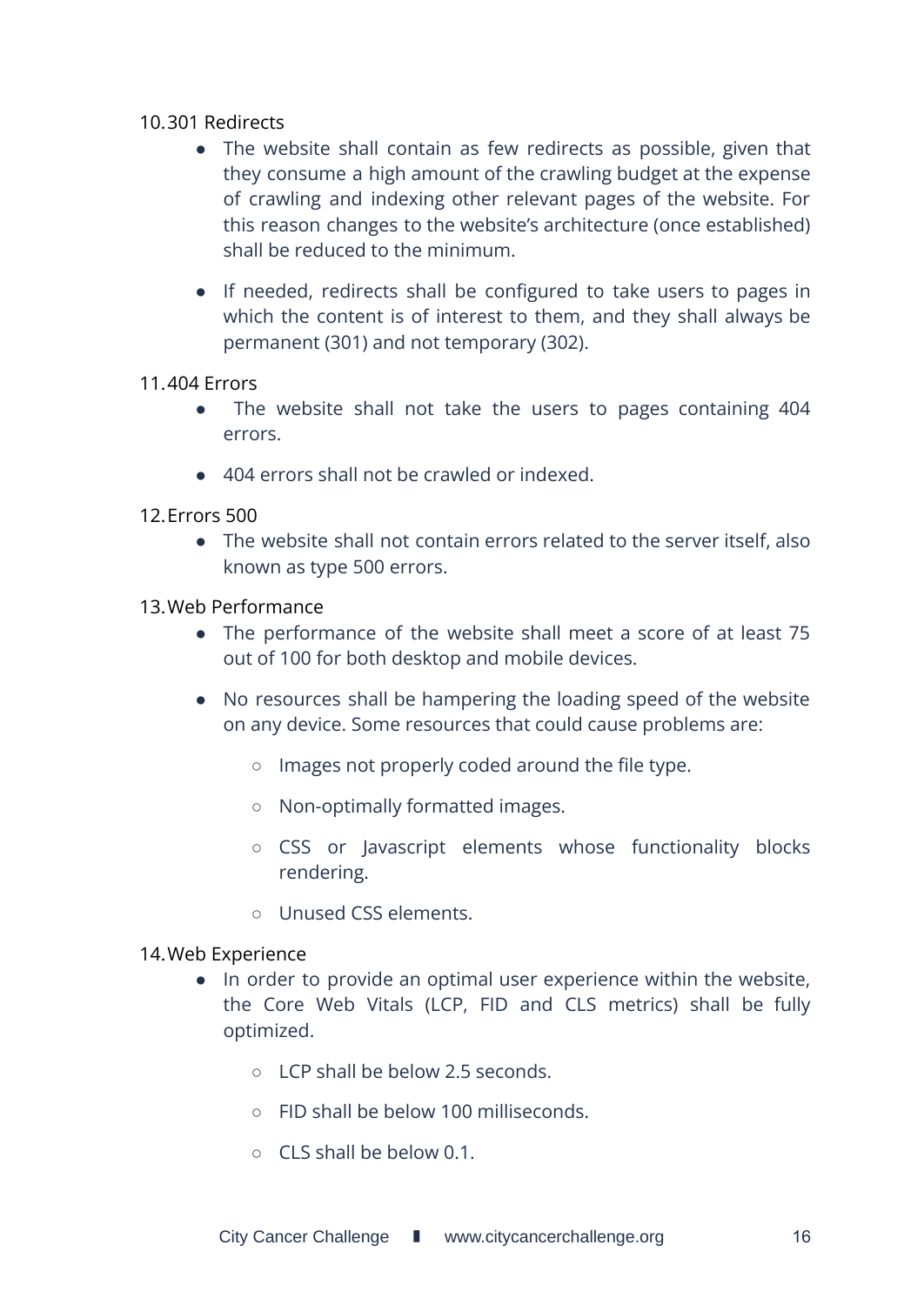#### 10.301 Redirects

- The website shall contain as few redirects as possible, given that they consume a high amount of the crawling budget at the expense of crawling and indexing other relevant pages of the website. For this reason changes to the website's architecture (once established) shall be reduced to the minimum.
- If needed, redirects shall be configured to take users to pages in which the content is of interest to them, and they shall always be permanent (301) and not temporary (302).

#### 11.404 Errors

- The website shall not take the users to pages containing 404 errors.
- 404 errors shall not be crawled or indexed.
- 12.Errors 500
	- The website shall not contain errors related to the server itself, also known as type 500 errors.

#### 13.Web Performance

- The performance of the website shall meet a score of at least 75 out of 100 for both desktop and mobile devices.
- No resources shall be hampering the loading speed of the website on any device. Some resources that could cause problems are:
	- Images not properly coded around the file type.
	- Non-optimally formatted images.
	- CSS or Javascript elements whose functionality blocks rendering.
	- Unused CSS elements.

#### 14.Web Experience

- In order to provide an optimal user experience within the website, the Core Web Vitals (LCP, FID and CLS metrics) shall be fully optimized.
	- LCP shall be below 2.5 seconds.
	- FID shall be below 100 milliseconds.
	- CLS shall be below 0.1.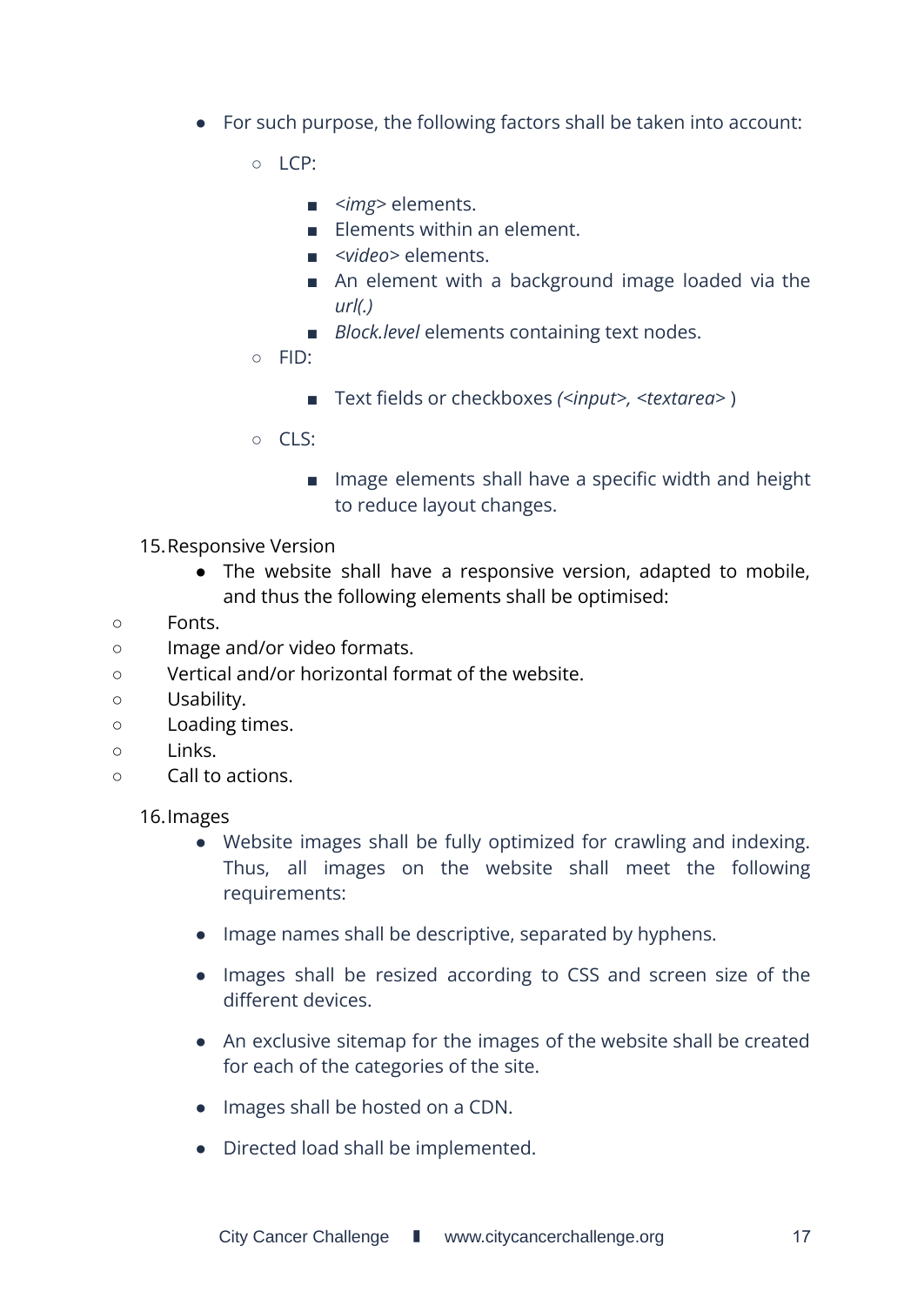- For such purpose, the following factors shall be taken into account:
	- $O \cap \Gamma$ :
		- *<img>* elements.
		- Elements within an element.
		- *<video>* elements.
		- An element with a background image loaded via the *url(.)*
		- *Block.level* elements containing text nodes.
	- FID:
		- Text fields or checkboxes *(<input>, <textarea>* )
	- $O$   $C1S$ 
		- Image elements shall have a specific width and height to reduce layout changes.
- 15.Responsive Version
	- The website shall have a responsive version, adapted to mobile, and thus the following elements shall be optimised:
- Fonts.
- Image and/or video formats.
- Vertical and/or horizontal format of the website.
- Usability.
- Loading times.
- Links.
- Call to actions.

16.Images

- Website images shall be fully optimized for crawling and indexing. Thus, all images on the website shall meet the following requirements:
- Image names shall be descriptive, separated by hyphens.
- Images shall be resized according to CSS and screen size of the different devices.
- An exclusive sitemap for the images of the website shall be created for each of the categories of the site.
- Images shall be hosted on a CDN.
- Directed load shall be implemented.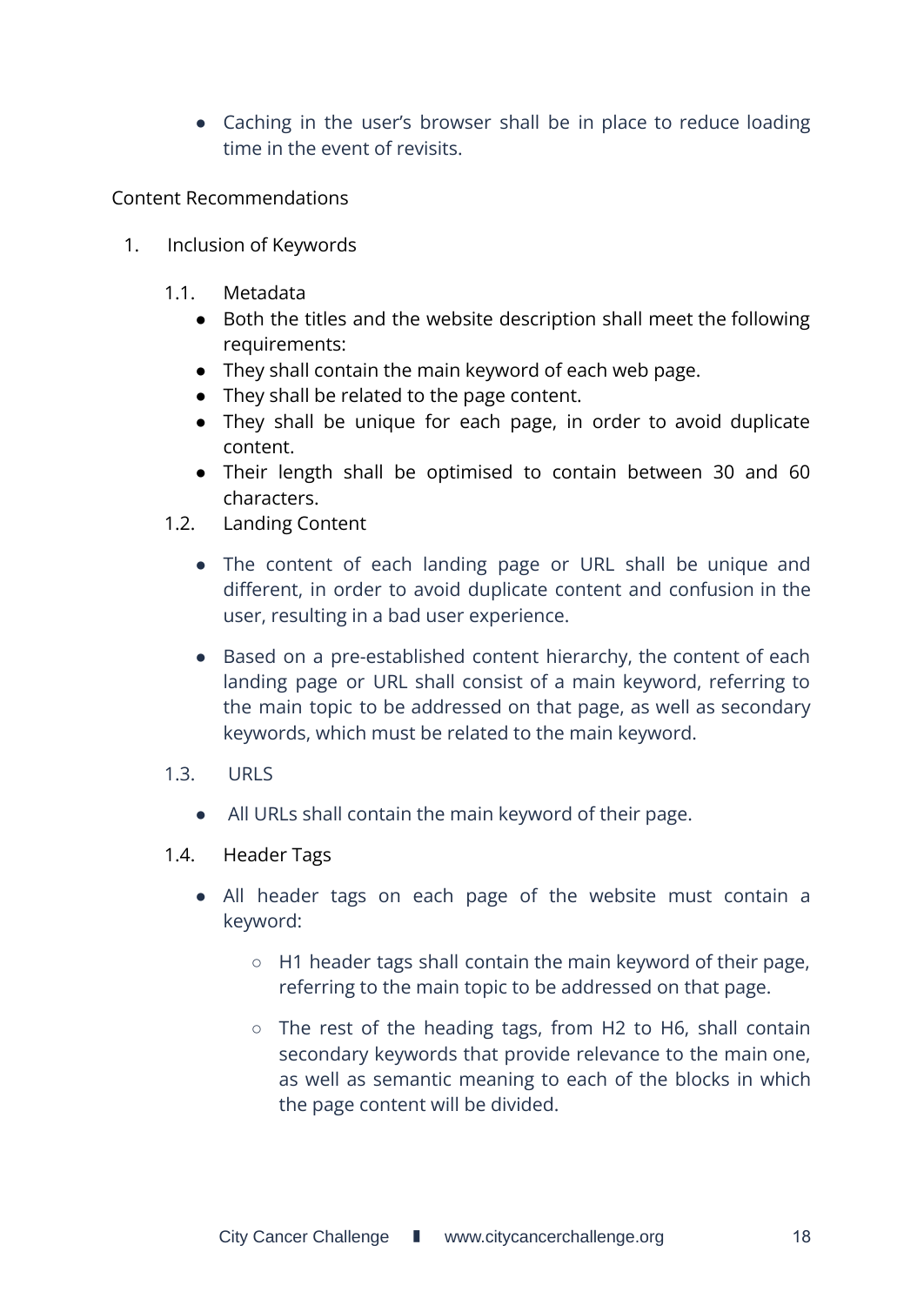• Caching in the user's browser shall be in place to reduce loading time in the event of revisits.

Content Recommendations

- 1. Inclusion of Keywords
	- 1.1. Metadata
		- Both the titles and the website description shall meet the following requirements:
		- They shall contain the main keyword of each web page.
		- They shall be related to the page content.
		- They shall be unique for each page, in order to avoid duplicate content.
		- Their length shall be optimised to contain between 30 and 60 characters.
	- 1.2. Landing Content
		- The content of each landing page or URL shall be unique and different, in order to avoid duplicate content and confusion in the user, resulting in a bad user experience.
		- Based on a pre-established content hierarchy, the content of each landing page or URL shall consist of a main keyword, referring to the main topic to be addressed on that page, as well as secondary keywords, which must be related to the main keyword.
	- 1.3. URLS
		- All URLs shall contain the main keyword of their page.
	- 1.4. Header Tags
		- All header tags on each page of the website must contain a keyword:
			- H1 header tags shall contain the main keyword of their page, referring to the main topic to be addressed on that page.
			- The rest of the heading tags, from H2 to H6, shall contain secondary keywords that provide relevance to the main one, as well as semantic meaning to each of the blocks in which the page content will be divided.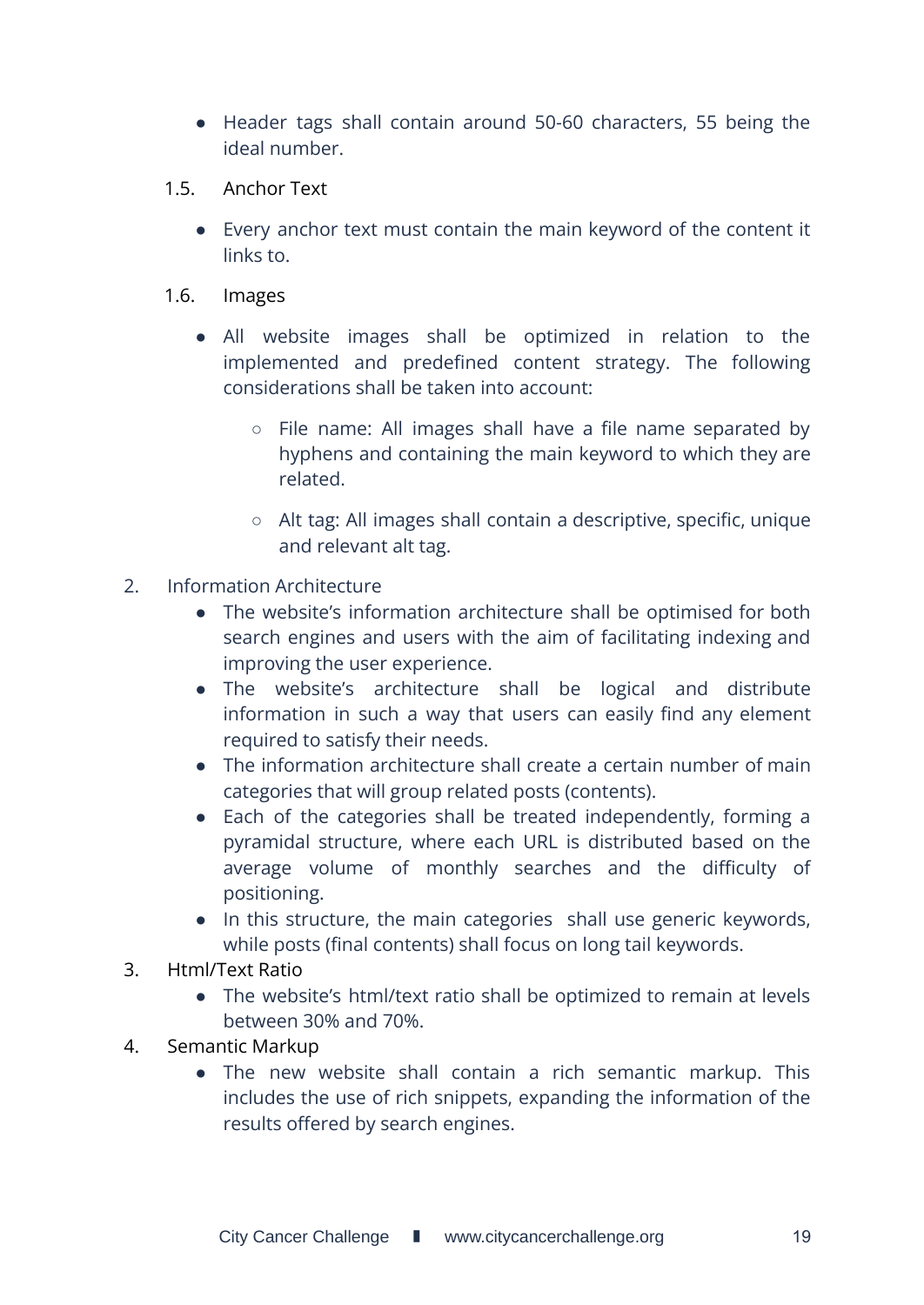- Header tags shall contain around 50-60 characters, 55 being the ideal number.
- 1.5. Anchor Text
	- Every anchor text must contain the main keyword of the content it links to.
- 1.6. Images
	- All website images shall be optimized in relation to the implemented and predefined content strategy. The following considerations shall be taken into account:
		- File name: All images shall have a file name separated by hyphens and containing the main keyword to which they are related.
		- Alt tag: All images shall contain a descriptive, specific, unique and relevant alt tag.
- 2. Information Architecture
	- The website's information architecture shall be optimised for both search engines and users with the aim of facilitating indexing and improving the user experience.
	- The website's architecture shall be logical and distribute information in such a way that users can easily find any element required to satisfy their needs.
	- The information architecture shall create a certain number of main categories that will group related posts (contents).
	- Each of the categories shall be treated independently, forming a pyramidal structure, where each URL is distributed based on the average volume of monthly searches and the difficulty of positioning.
	- In this structure, the main categories shall use generic keywords, while posts (final contents) shall focus on long tail keywords.
- 3. Html/Text Ratio
	- The website's html/text ratio shall be optimized to remain at levels between 30% and 70%.
- 4. Semantic Markup
	- The new website shall contain a rich semantic markup. This includes the use of rich snippets, expanding the information of the results offered by search engines.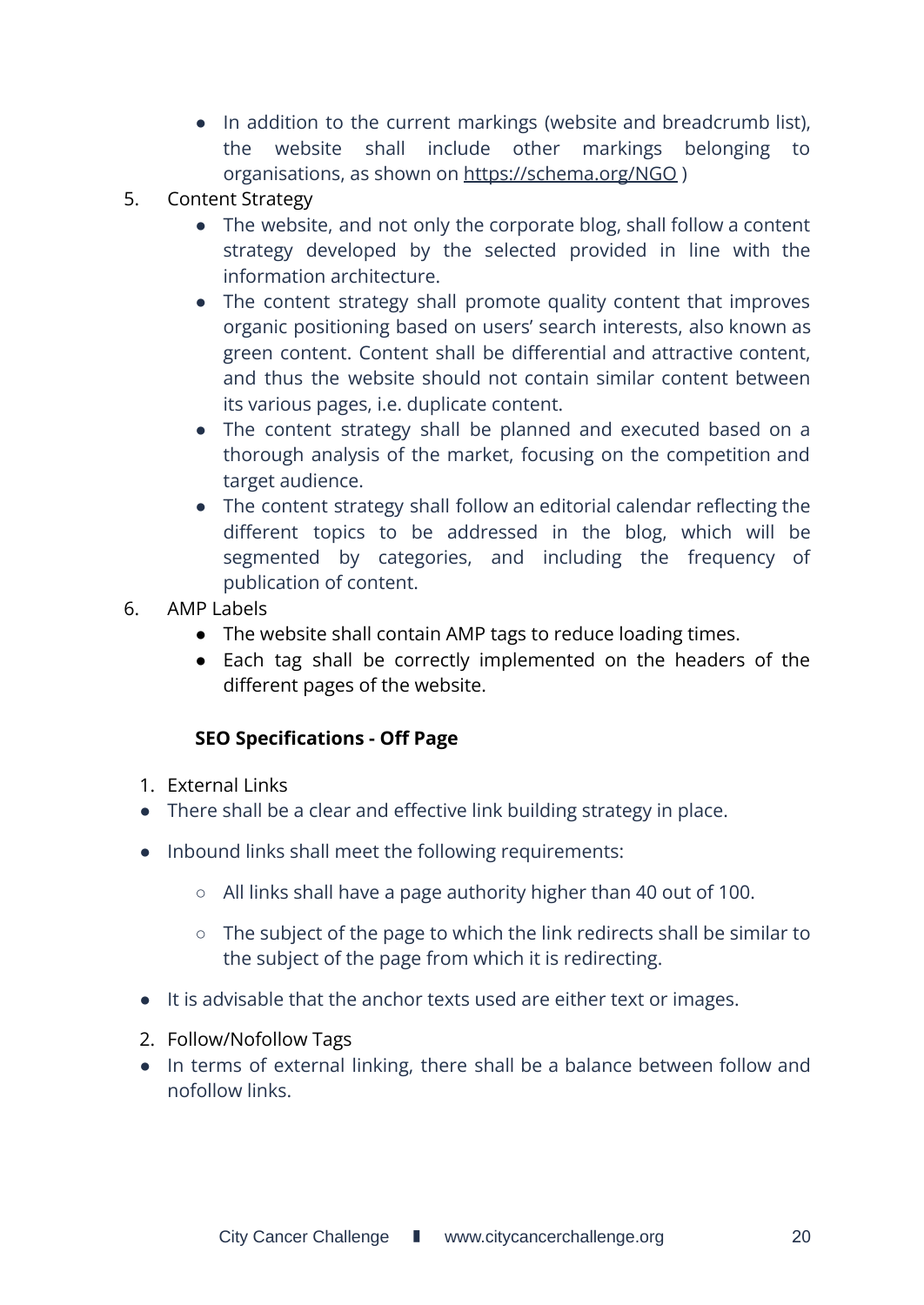- In addition to the current markings (website and breadcrumb list), the website shall include other markings belonging to organisations, as shown on <https://schema.org/NGO> )
- 5. Content Strategy
	- The website, and not only the corporate blog, shall follow a content strategy developed by the selected provided in line with the information architecture.
	- The content strategy shall promote quality content that improves organic positioning based on users' search interests, also known as green content. Content shall be differential and attractive content, and thus the website should not contain similar content between its various pages, i.e. duplicate content.
	- The content strategy shall be planned and executed based on a thorough analysis of the market, focusing on the competition and target audience.
	- The content strategy shall follow an editorial calendar reflecting the different topics to be addressed in the blog, which will be segmented by categories, and including the frequency of publication of content.
- 6. AMP Labels
	- The website shall contain AMP tags to reduce loading times.
	- Each tag shall be correctly implemented on the headers of the different pages of the website.

### **SEO Specifications - Off Page**

- <span id="page-19-0"></span>1. External Links
- There shall be a clear and effective link building strategy in place.
- Inbound links shall meet the following requirements:
	- All links shall have a page authority higher than 40 out of 100.
	- The subject of the page to which the link redirects shall be similar to the subject of the page from which it is redirecting.
- It is advisable that the anchor texts used are either text or images.
- 2. Follow/Nofollow Tags
- In terms of external linking, there shall be a balance between follow and nofollow links.